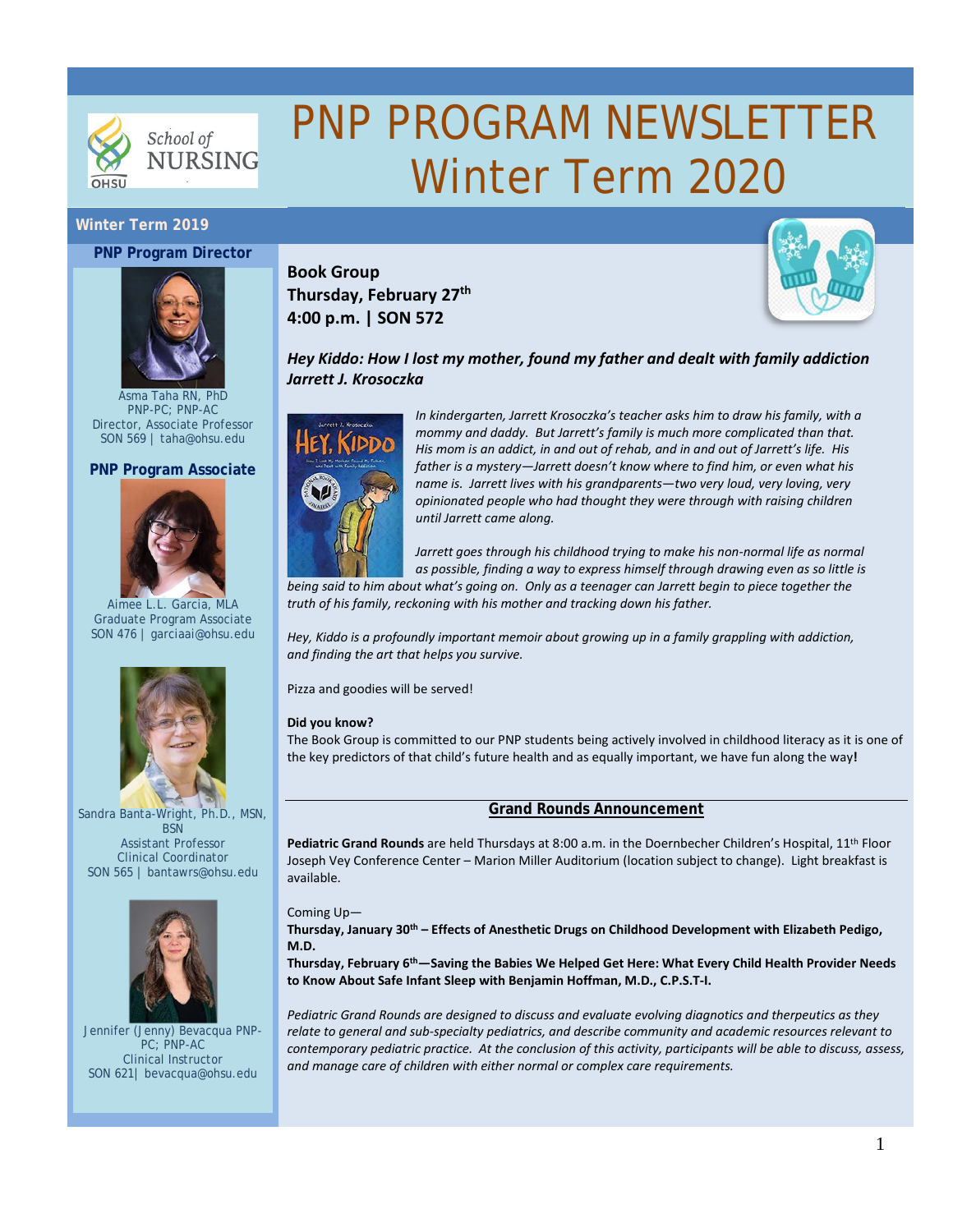

# PNP PROGRAM NEWSLETTER Winter Term 2020

# **Winter Term 2019**

#### **PNP Program Director**



Asma Taha RN, PhD PNP-PC; PNP-AC Director, Associate Professor SON 569 | [taha@ohsu.edu](mailto:taha@ohsu.edu)

#### **PNP Program Associate**



Aimee L.L. Garcia, MLA Graduate Program Associate SON 476 | [garciaai@ohsu.edu](mailto:garciaai@ohsu.edu)



Sandra Banta-Wright, Ph.D., MSN, **BSN** Assistant Professor

Clinical Coordinator SON 565 | bantawrs@ohsu.edu



Jennifer (Jenny) Bevacqua PNP-PC; PNP-AC Clinical Instructor SON 621| [bevacqua@ohsu.edu](mailto:bevacqua@ohsu.edu)

**Book Group**



# **Thursday, February 27th 4:00 p.m. | SON 572**

# *Hey Kiddo: How I lost my mother, found my father and dealt with family addiction Jarrett J. Krosoczka*



*In kindergarten, Jarrett Krosoczka's teacher asks him to draw his family, with a mommy and daddy. But Jarrett's family is much more complicated than that. His mom is an addict, in and out of rehab, and in and out of Jarrett's life. His father is a mystery—Jarrett doesn't know where to find him, or even what his name is. Jarrett lives with his grandparents—two very loud, very loving, very opinionated people who had thought they were through with raising children until Jarrett came along.*

Jarrett goes through his childhood trying to make his non-normal life as normal *as possible, finding a way to express himself through drawing even as so little is* 

*being said to him about what's going on. Only as a teenager can Jarrett begin to piece together the truth of his family, reckoning with his mother and tracking down his father.*

*Hey, Kiddo is a profoundly important memoir about growing up in a family grappling with addiction, and finding the art that helps you survive.*

Pizza and goodies will be served!

#### **Did you know?**

The Book Group is committed to our PNP students being actively involved in childhood literacy as it is one of the key predictors of that child's future health and as equally important, we have fun along the way**!**

#### **Grand Rounds Announcement**

**Pediatric Grand Rounds** are held Thursdays at 8:00 a.m. in the Doernbecher Children's Hospital, 11th Floor Joseph Vey Conference Center – Marion Miller Auditorium (location subject to change). Light breakfast is available.

#### Coming Up—

**Thursday, January 30th – Effects of Anesthetic Drugs on Childhood Development with Elizabeth Pedigo, M.D.**

**Thursday, February 6th—Saving the Babies We Helped Get Here: What Every Child Health Provider Needs to Know About Safe Infant Sleep with Benjamin Hoffman, M.D., C.P.S.T-I.**

*Pediatric Grand Rounds are designed to discuss and evaluate evolving diagnotics and therpeutics as they relate to general and sub-specialty pediatrics, and describe community and academic resources relevant to contemporary pediatric practice. At the conclusion of this activity, participants will be able to discuss, assess, and manage care of children with either normal or complex care requirements.*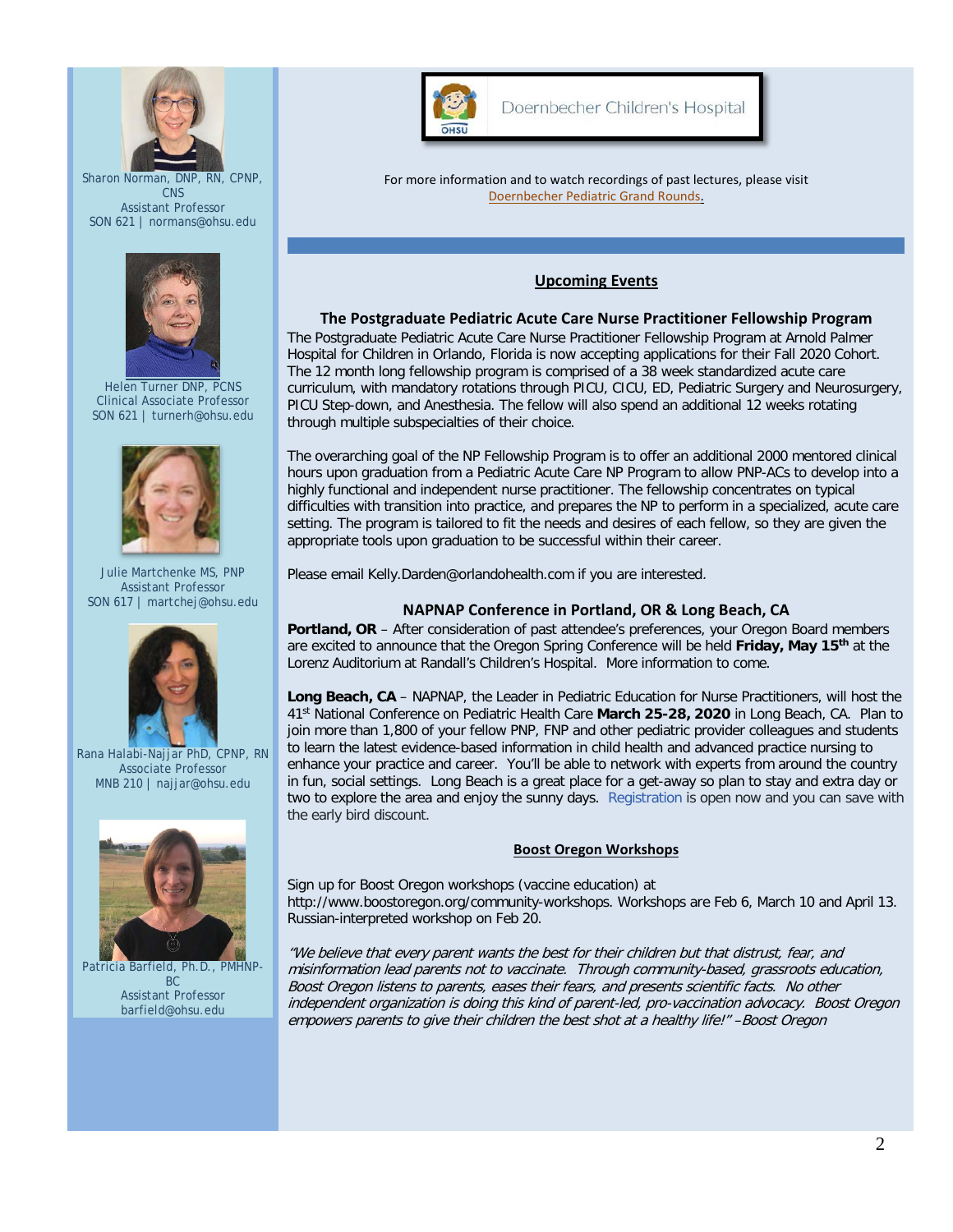

Sharon Norman, DNP, RN, CPNP, **CNS** Assistant Professor SON 621 | [normans@ohsu.edu](mailto:normans@ohsu.edu)



Helen Turner DNP, PCNS Clinical Associate Professor SON 621 | [turnerh@ohsu.edu](mailto:turnerh@ohsu.edu)



Julie Martchenke MS, PNP Assistant Professor SON 617 | martchej@ohsu.edu



Rana Halabi-Najjar PhD, CPNP, RN Associate Professor MNB 210 [| najjar@ohsu.edu](mailto:najjar@ohsu.edu)



Patricia Barfield, Ph.D., PMHNP-BC Assistant Professor [barfield@ohsu.edu](mailto:bantawrs@ohsu.edu)



Doernbecher Children's Hospital

For more information and to watch recordings of past lectures, please visit [Doernbecher Pediatric Grand Rounds.](https://www.ohsu.edu/doernbecher/pediatric-grand-rounds)

# **Upcoming Events**

## **The Postgraduate Pediatric Acute Care Nurse Practitioner Fellowship Program**

The Postgraduate Pediatric Acute Care Nurse Practitioner Fellowship Program at Arnold Palmer Hospital for Children in Orlando, Florida is now accepting applications for their Fall 2020 Cohort. The 12 month long fellowship program is comprised of a 38 week standardized acute care curriculum, with mandatory rotations through PICU, CICU, ED, Pediatric Surgery and Neurosurgery, PICU Step-down, and Anesthesia. The fellow will also spend an additional 12 weeks rotating through multiple subspecialties of their choice.

The overarching goal of the NP Fellowship Program is to offer an additional 2000 mentored clinical hours upon graduation from a Pediatric Acute Care NP Program to allow PNP-ACs to develop into a highly functional and independent nurse practitioner. The fellowship concentrates on typical difficulties with transition into practice, and prepares the NP to perform in a specialized, acute care setting. The program is tailored to fit the needs and desires of each fellow, so they are given the appropriate tools upon graduation to be successful within their career.

Please email [Kelly.Darden@orlandohealth.com](mailto:Kelly.Darden@orlandohealth.com) if you are interested.

## **NAPNAP Conference in Portland, OR & Long Beach, CA**

**Portland, OR** – After consideration of past attendee's preferences, your Oregon Board members are excited to announce that the Oregon Spring Conference will be held **Friday, May 15th** at the Lorenz Auditorium at Randall's Children's Hospital. More information to come.

**Long Beach, CA** – NAPNAP, the Leader in Pediatric Education for Nurse Practitioners, will host the 41st National Conference on Pediatric Health Care **March 25-28, 2020** in Long Beach, CA. Plan to join more than 1,800 of your fellow PNP, FNP and other pediatric provider colleagues and students to learn the latest evidence-based information in child health and advanced practice nursing to enhance your practice and career. You'll be able to network with experts from around the country in fun, social settings. Long Beach is a great place for a get-away so plan to stay and extra day or two to explore the area and enjoy the sunny days. [Registration](https://www.napnap.org/conference-registration) is open now and you can save with the early bird discount.

#### **Boost Oregon Workshops**

Sign up for Boost Oregon workshops (vaccine education) at [http://www.boostoregon.org/community-workshops.](http://www.boostoregon.org/community-workshops) Workshops are Feb 6, March 10 and April 13. Russian-interpreted workshop on Feb 20.

"We believe that every parent wants the best for their children but that distrust, fear, and misinformation lead parents not to vaccinate. Through community-based, grassroots education, Boost Oregon listens to parents, eases their fears, and presents scientific facts. No other independent organization is doing this kind of parent-led, pro-vaccination advocacy. Boost Oregon empowers parents to give their children the best shot at a healthy life!" –Boost Oregon